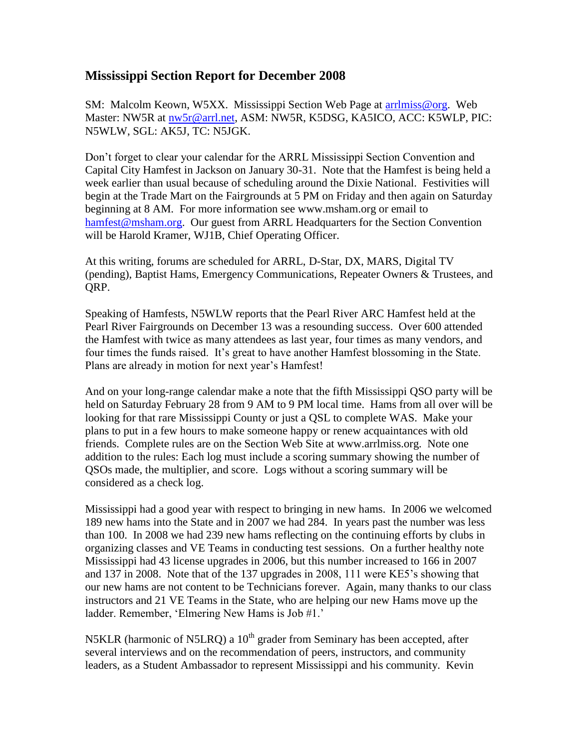## **Mississippi Section Report for December 2008**

SM: Malcolm Keown, W5XX. Mississippi Section Web Page at arrilmiss@org. Web Master: NW5R at [nw5r@arrl.net,](mailto:nw5r@arrl.net) ASM: NW5R, K5DSG, KA5ICO, ACC: K5WLP, PIC: N5WLW, SGL: AK5J, TC: N5JGK.

Don't forget to clear your calendar for the ARRL Mississippi Section Convention and Capital City Hamfest in Jackson on January 30-31. Note that the Hamfest is being held a week earlier than usual because of scheduling around the Dixie National. Festivities will begin at the Trade Mart on the Fairgrounds at 5 PM on Friday and then again on Saturday beginning at 8 AM. For more information see www.msham.org or email to [hamfest@msham.org.](mailto:hamfest@msham.org) Our guest from ARRL Headquarters for the Section Convention will be Harold Kramer, WJ1B, Chief Operating Officer.

At this writing, forums are scheduled for ARRL, D-Star, DX, MARS, Digital TV (pending), Baptist Hams, Emergency Communications, Repeater Owners & Trustees, and ORP.

Speaking of Hamfests, N5WLW reports that the Pearl River ARC Hamfest held at the Pearl River Fairgrounds on December 13 was a resounding success. Over 600 attended the Hamfest with twice as many attendees as last year, four times as many vendors, and four times the funds raised. It's great to have another Hamfest blossoming in the State. Plans are already in motion for next year's Hamfest!

And on your long-range calendar make a note that the fifth Mississippi QSO party will be held on Saturday February 28 from 9 AM to 9 PM local time. Hams from all over will be looking for that rare Mississippi County or just a QSL to complete WAS. Make your plans to put in a few hours to make someone happy or renew acquaintances with old friends. Complete rules are on the Section Web Site at www.arrlmiss.org. Note one addition to the rules: Each log must include a scoring summary showing the number of QSOs made, the multiplier, and score. Logs without a scoring summary will be considered as a check log.

Mississippi had a good year with respect to bringing in new hams. In 2006 we welcomed 189 new hams into the State and in 2007 we had 284. In years past the number was less than 100. In 2008 we had 239 new hams reflecting on the continuing efforts by clubs in organizing classes and VE Teams in conducting test sessions. On a further healthy note Mississippi had 43 license upgrades in 2006, but this number increased to 166 in 2007 and 137 in 2008. Note that of the 137 upgrades in 2008, 111 were KE5's showing that our new hams are not content to be Technicians forever. Again, many thanks to our class instructors and 21 VE Teams in the State, who are helping our new Hams move up the ladder. Remember, 'Elmering New Hams is Job #1.'

N5KLR (harmonic of N5LRQ) a  $10<sup>th</sup>$  grader from Seminary has been accepted, after several interviews and on the recommendation of peers, instructors, and community leaders, as a Student Ambassador to represent Mississippi and his community. Kevin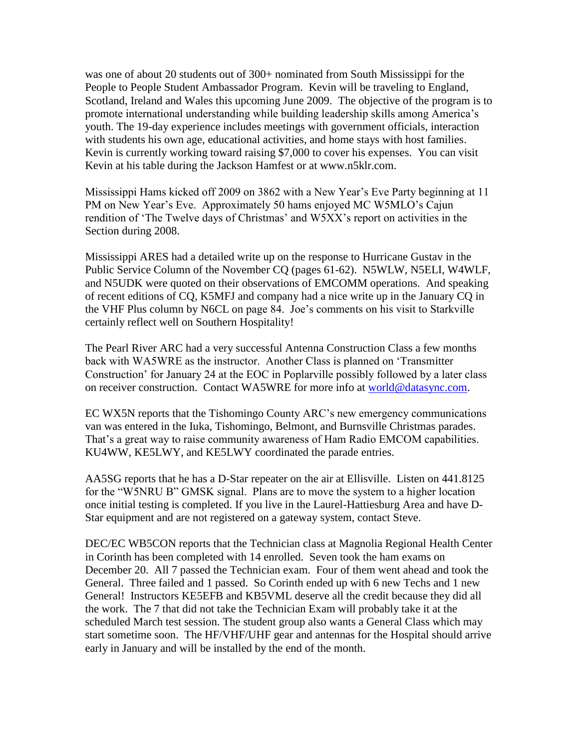was one of about 20 students out of 300+ nominated from South Mississippi for the People to People Student Ambassador Program. Kevin will be traveling to England, Scotland, Ireland and Wales this upcoming June 2009. The objective of the program is to promote international understanding while building leadership skills among America's youth. The 19-day experience includes meetings with government officials, interaction with students his own age, educational activities, and home stays with host families. Kevin is currently working toward raising \$7,000 to cover his expenses. You can visit Kevin at his table during the Jackson Hamfest or at www.n5klr.com.

Mississippi Hams kicked off 2009 on 3862 with a New Year's Eve Party beginning at 11 PM on New Year's Eve. Approximately 50 hams enjoyed MC W5MLO's Cajun rendition of 'The Twelve days of Christmas' and W5XX's report on activities in the Section during 2008.

Mississippi ARES had a detailed write up on the response to Hurricane Gustav in the Public Service Column of the November CQ (pages 61-62). N5WLW, N5ELI, W4WLF, and N5UDK were quoted on their observations of EMCOMM operations. And speaking of recent editions of CQ, K5MFJ and company had a nice write up in the January CQ in the VHF Plus column by N6CL on page 84. Joe's comments on his visit to Starkville certainly reflect well on Southern Hospitality!

The Pearl River ARC had a very successful Antenna Construction Class a few months back with WA5WRE as the instructor. Another Class is planned on 'Transmitter Construction' for January 24 at the EOC in Poplarville possibly followed by a later class on receiver construction. Contact WA5WRE for more info at [world@datasync.com.](mailto:world@datasync.com)

EC WX5N reports that the Tishomingo County ARC's new emergency communications van was entered in the Iuka, Tishomingo, Belmont, and Burnsville Christmas parades. That's a great way to raise community awareness of Ham Radio EMCOM capabilities. KU4WW, KE5LWY, and KE5LWY coordinated the parade entries.

AA5SG reports that he has a D-Star repeater on the air at Ellisville. Listen on 441.8125 for the "W5NRU B" GMSK signal. Plans are to move the system to a higher location once initial testing is completed. If you live in the Laurel-Hattiesburg Area and have D-Star equipment and are not registered on a gateway system, contact Steve.

DEC/EC WB5CON reports that the Technician class at Magnolia Regional Health Center in Corinth has been completed with 14 enrolled. Seven took the ham exams on December 20. All 7 passed the Technician exam. Four of them went ahead and took the General. Three failed and 1 passed. So Corinth ended up with 6 new Techs and 1 new General! Instructors KE5EFB and KB5VML deserve all the credit because they did all the work. The 7 that did not take the Technician Exam will probably take it at the scheduled March test session. The student group also wants a General Class which may start sometime soon. The HF/VHF/UHF gear and antennas for the Hospital should arrive early in January and will be installed by the end of the month.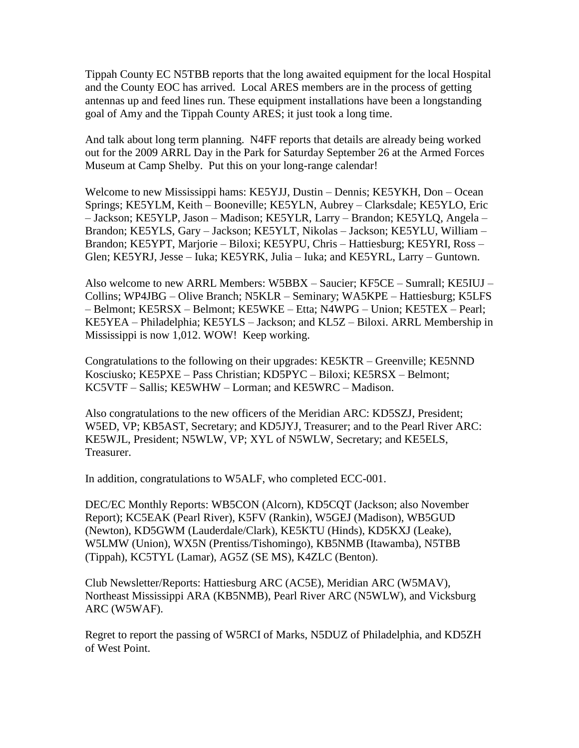Tippah County EC N5TBB reports that the long awaited equipment for the local Hospital and the County EOC has arrived. Local ARES members are in the process of getting antennas up and feed lines run. These equipment installations have been a longstanding goal of Amy and the Tippah County ARES; it just took a long time.

And talk about long term planning. N4FF reports that details are already being worked out for the 2009 ARRL Day in the Park for Saturday September 26 at the Armed Forces Museum at Camp Shelby. Put this on your long-range calendar!

Welcome to new Mississippi hams: KE5YJJ, Dustin – Dennis; KE5YKH, Don – Ocean Springs; KE5YLM, Keith – Booneville; KE5YLN, Aubrey – Clarksdale; KE5YLO, Eric – Jackson; KE5YLP, Jason – Madison; KE5YLR, Larry – Brandon; KE5YLQ, Angela – Brandon; KE5YLS, Gary – Jackson; KE5YLT, Nikolas – Jackson; KE5YLU, William – Brandon; KE5YPT, Marjorie – Biloxi; KE5YPU, Chris – Hattiesburg; KE5YRI, Ross – Glen; KE5YRJ, Jesse – Iuka; KE5YRK, Julia – Iuka; and KE5YRL, Larry – Guntown.

Also welcome to new ARRL Members: W5BBX – Saucier; KF5CE – Sumrall; KE5IUJ – Collins; WP4JBG – Olive Branch; N5KLR – Seminary; WA5KPE – Hattiesburg; K5LFS – Belmont; KE5RSX – Belmont; KE5WKE – Etta; N4WPG – Union; KE5TEX – Pearl; KE5YEA – Philadelphia; KE5YLS – Jackson; and KL5Z – Biloxi. ARRL Membership in Mississippi is now 1,012. WOW! Keep working.

Congratulations to the following on their upgrades: KE5KTR – Greenville; KE5NND Kosciusko; KE5PXE – Pass Christian; KD5PYC – Biloxi; KE5RSX – Belmont; KC5VTF – Sallis; KE5WHW – Lorman; and KE5WRC – Madison.

Also congratulations to the new officers of the Meridian ARC: KD5SZJ, President; W5ED, VP; KB5AST, Secretary; and KD5JYJ, Treasurer; and to the Pearl River ARC: KE5WJL, President; N5WLW, VP; XYL of N5WLW, Secretary; and KE5ELS, Treasurer.

In addition, congratulations to W5ALF, who completed ECC-001.

DEC/EC Monthly Reports: WB5CON (Alcorn), KD5CQT (Jackson; also November Report); KC5EAK (Pearl River), K5FV (Rankin), W5GEJ (Madison), WB5GUD (Newton), KD5GWM (Lauderdale/Clark), KE5KTU (Hinds), KD5KXJ (Leake), W5LMW (Union), WX5N (Prentiss/Tishomingo), KB5NMB (Itawamba), N5TBB (Tippah), KC5TYL (Lamar), AG5Z (SE MS), K4ZLC (Benton).

Club Newsletter/Reports: Hattiesburg ARC (AC5E), Meridian ARC (W5MAV), Northeast Mississippi ARA (KB5NMB), Pearl River ARC (N5WLW), and Vicksburg ARC (W5WAF).

Regret to report the passing of W5RCI of Marks, N5DUZ of Philadelphia, and KD5ZH of West Point.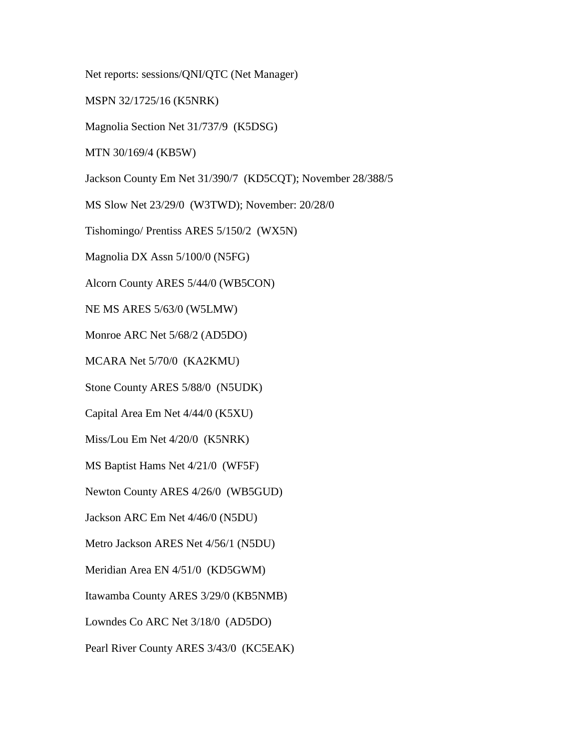Net reports: sessions/QNI/QTC (Net Manager)

MSPN 32/1725/16 (K5NRK)

Magnolia Section Net 31/737/9 (K5DSG)

MTN 30/169/4 (KB5W)

Jackson County Em Net 31/390/7 (KD5CQT); November 28/388/5

MS Slow Net 23/29/0 (W3TWD); November: 20/28/0

Tishomingo/ Prentiss ARES 5/150/2 (WX5N)

Magnolia DX Assn 5/100/0 (N5FG)

Alcorn County ARES 5/44/0 (WB5CON)

NE MS ARES 5/63/0 (W5LMW)

Monroe ARC Net 5/68/2 (AD5DO)

MCARA Net 5/70/0 (KA2KMU)

Stone County ARES 5/88/0 (N5UDK)

Capital Area Em Net 4/44/0 (K5XU)

Miss/Lou Em Net 4/20/0 (K5NRK)

MS Baptist Hams Net 4/21/0 (WF5F)

Newton County ARES 4/26/0 (WB5GUD)

Jackson ARC Em Net 4/46/0 (N5DU)

Metro Jackson ARES Net 4/56/1 (N5DU)

Meridian Area EN 4/51/0 (KD5GWM)

Itawamba County ARES 3/29/0 (KB5NMB)

Lowndes Co ARC Net 3/18/0 (AD5DO)

Pearl River County ARES 3/43/0 (KC5EAK)